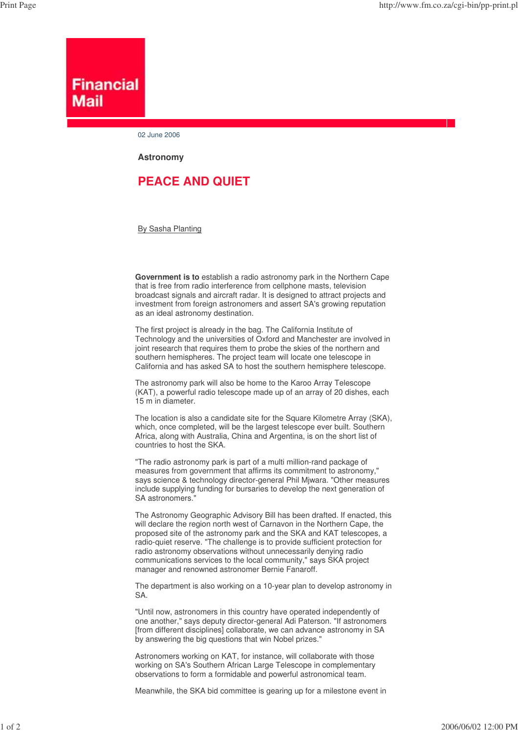## **Financial** Mail

02 June 2006

**Astronomy**

## **PEACE AND QUIET**

By Sasha Planting

**Government is to** establish a radio astronomy park in the Northern Cape that is free from radio interference from cellphone masts, television broadcast signals and aircraft radar. It is designed to attract projects and investment from foreign astronomers and assert SA's growing reputation as an ideal astronomy destination.

The first project is already in the bag. The California Institute of Technology and the universities of Oxford and Manchester are involved in joint research that requires them to probe the skies of the northern and southern hemispheres. The project team will locate one telescope in California and has asked SA to host the southern hemisphere telescope.

The astronomy park will also be home to the Karoo Array Telescope (KAT), a powerful radio telescope made up of an array of 20 dishes, each 15 m in diameter.

The location is also a candidate site for the Square Kilometre Array (SKA), which, once completed, will be the largest telescope ever built. Southern Africa, along with Australia, China and Argentina, is on the short list of countries to host the SKA.

"The radio astronomy park is part of a multi million-rand package of measures from government that affirms its commitment to astronomy," says science & technology director-general Phil Mjwara. "Other measures include supplying funding for bursaries to develop the next generation of SA astronomers."

The Astronomy Geographic Advisory Bill has been drafted. If enacted, this will declare the region north west of Carnavon in the Northern Cape, the proposed site of the astronomy park and the SKA and KAT telescopes, a radio-quiet reserve. "The challenge is to provide sufficient protection for radio astronomy observations without unnecessarily denying radio communications services to the local community," says SKA project manager and renowned astronomer Bernie Fanaroff.

The department is also working on a 10-year plan to develop astronomy in SA.

"Until now, astronomers in this country have operated independently of one another," says deputy director-general Adi Paterson. "If astronomers [from different disciplines] collaborate, we can advance astronomy in SA by answering the big questions that win Nobel prizes."

Astronomers working on KAT, for instance, will collaborate with those working on SA's Southern African Large Telescope in complementary observations to form a formidable and powerful astronomical team.

Meanwhile, the SKA bid committee is gearing up for a milestone event in